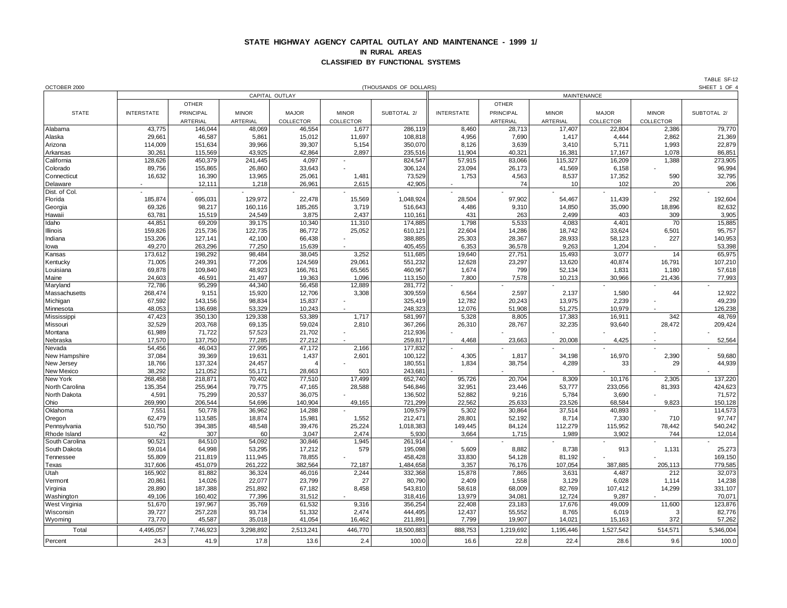## **STATE HIGHWAY AGENCY CAPITAL OUTLAY AND MAINTENANCE - 1999 1/ IN RURAL AREAS CLASSIFIED BY FUNCTIONAL SYSTEMS**

| OCTOBER 2000         |                                      |                   |                   |                   |                  | (THOUSANDS OF DOLLARS) |                   |                 |                 |                 |              | SHEET 1 OF 4      |
|----------------------|--------------------------------------|-------------------|-------------------|-------------------|------------------|------------------------|-------------------|-----------------|-----------------|-----------------|--------------|-------------------|
|                      | CAPITAL OUTLAY<br><b>MAINTENANCE</b> |                   |                   |                   |                  |                        |                   |                 |                 |                 |              |                   |
|                      |                                      | <b>OTHER</b>      |                   |                   |                  |                        |                   | <b>OTHER</b>    |                 |                 |              |                   |
| <b>STATE</b>         | <b>INTERSTATE</b>                    | PRINCIPAL         | <b>MINOR</b>      | <b>MAJOR</b>      | <b>MINOR</b>     | SUBTOTAL 2/            | <b>INTERSTATE</b> | PRINCIPAL       | <b>MINOR</b>    | <b>MAJOR</b>    | <b>MINOR</b> | SUBTOTAL 2/       |
|                      |                                      | ARTERIAL          | ARTERIAL          | COLLECTOR         | COLLECTOR        |                        |                   | ARTERIAL        | ARTERIAL        | COLLECTOR       | COLLECTOR    |                   |
| Alabama              | 43,775                               | 146,044           | 48,069            | 46,554            | 1,677            | 286,119                | 8,460             | 28,713          | 17,407          | 22,804          | 2,386        | 79,770            |
| Alaska               | 29,661                               | 46,587            | 5,861             | 15,012            | 11,697           | 108,818                | 4,956             | 7,690           | 1,417           | 4,444           | 2,862        | 21,369            |
| Arizona              | 114,009                              | 151,634           | 39,966            | 39,307            | 5,154            | 350,070                | 8,126             | 3,639           | 3,410           | 5,711           | 1,993        | 22,879            |
| Arkansas             | 30,261                               | 115,569           | 43,925            | 42,864            | 2,897            | 235,516                | 11,904            | 40,321          | 16,381          | 17,167          | 1,078        | 86,851            |
| California           | 128,626                              | 450,379           | 241,445           | 4,097             |                  | 824,547                | 57,915            | 83,066          | 115,327         | 16,209          | 1,388        | 273,905           |
| Colorado             | 89,756                               | 155,865           | 26,860            | 33,643            |                  | 306,124                | 23,094            | 26,173          | 41,569          | 6,158           |              | 96,994            |
| Connecticut          | 16,632                               | 16,390            | 13,965            | 25,061            | 1,481            | 73,529                 | 1,753             | 4,563           | 8,537           | 17,352          | 590          | 32,795            |
| Delaware             |                                      | 12,111            | 1,218             | 26,961            | 2,615            | 42,905                 |                   | 74              | 10              | 102             | 20           | 206               |
| Dist. of Col.        |                                      |                   |                   |                   |                  |                        |                   |                 |                 |                 |              |                   |
| Florida              | 185,874                              | 695,031           | 129,972           | 22,478            | 15,569           | 1,048,924              | 28,504            | 97,902          | 54,467          | 11,439          | 292          | 192,604           |
| Georgia              | 69,326                               | 98,217            | 160,116           | 185,265           | 3,719            | 516,643                | 4,486             | 9,310           | 14,850          | 35,090          | 18,896       | 82,632            |
| Hawaii               | 63,781                               | 15,519            | 24,549            | 3,875             | 2,437            | 110,161                | 431               | 263             | 2,499           | 403             | 309          | 3,905             |
| Idaho<br>Illinois    | 44,851                               | 69,209<br>215,736 | 39,175<br>122,735 | 10,340            | 11,310<br>25,052 | 174,885<br>610,121     | 1,798             | 5,533<br>14,286 | 4,083<br>18,742 | 4,401<br>33,624 | 70           | 15,885<br>95,757  |
| Indiana              | 159,826<br>153,206                   | 127,141           | 42,100            | 86,772<br>66,438  |                  | 388,885                | 22,604<br>25,303  | 28,367          | 28,933          | 58,123          | 6,501<br>227 | 140,953           |
| lowa                 | 49,270                               | 263,296           | 77,250            | 15,639            |                  | 405,455                | 6,353             | 36,578          | 9,263           | 1,204           |              | 53,398            |
| Kansas               | 173,612                              | 198,292           | 98,484            | 38,045            | 3,252            | 511,685                | 19,640            | 27,751          | 15,493          | 3,077           | 14           | 65,975            |
| Kentucky             | 71,005                               | 249,391           | 77,206            | 124,569           | 29,061           | 551,232                | 12,628            | 23,297          | 13,620          | 40,874          | 16,791       | 107,210           |
| Louisiana            | 69,878                               | 109,840           | 48,923            | 166,761           | 65,565           | 460,967                | 1,674             | 799             | 52,134          | 1,831           | 1,180        | 57,618            |
| Maine                | 24,603                               | 46,591            | 21,497            | 19,363            | 1,096            | 113,150                | 7,800             | 7,578           | 10,213          | 30,966          | 21,436       | 77,993            |
| Maryland             | 72,786                               | 95,299            | 44,340            | 56,458            | 12,889           | 281,772                |                   |                 |                 |                 |              |                   |
| Massachusetts        | 268,474                              | 9,151             | 15,920            | 12,706            | 3,308            | 309,559                | 6,564             | 2,597           | 2,137           | 1,580           | 44           | 12,922            |
| Michigan             | 67,592                               | 143,156           | 98,834            | 15,837            |                  | 325,419                | 12,782            | 20,243          | 13,975          | 2,239           |              | 49,239            |
| Minnesota            | 48,053                               | 136,698           | 53,329            | 10,243            |                  | 248,323                | 12,076            | 51,908          | 51,275          | 10,979          |              | 126,238           |
| Mississippi          | 47,423                               | 350,130           | 129,338           | 53,389            | 1,717            | 581,997                | 5,328             | 8,805           | 17,383          | 16,911          | 342          | 48,769            |
| Missouri             | 32,529                               | 203,768           | 69,135            | 59,024            | 2,810            | 367,266                | 26,310            | 28,767          | 32,235          | 93,640          | 28,472       | 209,424           |
| Montana              | 61,989                               | 71,722            | 57,523            | 21,702            |                  | 212,936                |                   |                 |                 |                 |              |                   |
| Nebraska             | 17,570                               | 137,750           | 77,285            | 27,212            |                  | 259,817                | 4,468             | 23,663          | 20,008          | 4,425           |              | 52,564            |
| Nevada               | 54,456                               | 46,043            | 27,995            | 47,172            | 2,166            | 177,832                |                   |                 |                 |                 |              |                   |
| New Hampshire        | 37,084                               | 39,369            | 19,631            | 1,437             | 2,601            | 100,122                | 4,305             | 1,817           | 34,198          | 16,970          | 2,390        | 59,680            |
| New Jersey           | 18,766                               | 137,324           | 24,457            |                   |                  | 180,551                | 1,834             | 38,754          | 4,289           | 33              | 29           | 44,939            |
| New Mexico           | 38,292                               | 121,052           | 55,171            | 28,663            | 503              | 243,681                |                   |                 |                 |                 |              |                   |
| New York             | 268,458                              | 218,871           | 70,402            | 77,510            | 17,499           | 652,740                | 95,726            | 20,704          | 8,309           | 10,176          | 2,305        | 137,220           |
| North Carolina       | 135,354                              | 255,964           | 79,775            | 47,165            | 28,588           | 546,846                | 32,951            | 23,446          | 53,777          | 233,056         | 81,393       | 424,623           |
| North Dakota<br>Ohio | 4,591<br>269,990                     | 75,299<br>206,544 | 20,537<br>54,696  | 36,075<br>140,904 | 49,165           | 136,502<br>721,299     | 52,882<br>22,562  | 9,216<br>25,633 | 5,784<br>23,526 | 3,690<br>68,584 | 9,823        | 71,572<br>150,128 |
| Oklahoma             | 7,551                                | 50,778            | 36,962            | 14,288            |                  | 109,579                | 5,302             | 30,864          | 37,514          | 40,893          |              | 114,573           |
| Oregon               | 62,479                               | 113,585           | 18,874            | 15,981            | 1,552            | 212,471                | 28,801            | 52,192          | 8,714           | 7,330           | 710          | 97,747            |
| Pennsylvania         | 510,750                              | 394,385           | 48,548            | 39,476            | 25,224           | 1,018,383              | 149,445           | 84,124          | 112,279         | 115,952         | 78,442       | 540,242           |
| Rhode Island         | 42                                   | 307               | 60                | 3,047             | 2,474            | 5,930                  | 3,664             | 1,715           | 1,989           | 3,902           | 744          | 12,014            |
| South Carolina       | 90,521                               | 84,510            | 54,092            | 30,846            | 1,945            | 261,914                |                   |                 |                 |                 |              |                   |
| South Dakota         | 59,014                               | 64,998            | 53,295            | 17,212            | 579              | 195,098                | 5,609             | 8,882           | 8,738           | 913             | 1,131        | 25,273            |
| Tennessee            | 55,809                               | 211,819           | 111,945           | 78,855            |                  | 458,428                | 33,830            | 54,128          | 81,192          |                 |              | 169,150           |
| Texas                | 317,606                              | 451,079           | 261,222           | 382,564           | 72,187           | 1,484,658              | 3,357             | 76,176          | 107,054         | 387,885         | 205,113      | 779,585           |
| Utah                 | 165,902                              | 81,882            | 36,324            | 46,016            | 2,244            | 332,368                | 15,878            | 7,865           | 3,631           | 4,487           | 212          | 32,073            |
| Vermont              | 20,861                               | 14,026            | 22,077            | 23,799            | 27               | 80,790                 | 2,409             | 1,558           | 3,129           | 6,028           | 1,114        | 14,238            |
| Virginia             | 28,890                               | 187,388           | 251,892           | 67,182            | 8,458            | 543,810                | 58,618            | 68,009          | 82,769          | 107,412         | 14,299       | 331,107           |
| Washington           | 49,106                               | 160,402           | 77,396            | 31,512            |                  | 318,416                | 13,979            | 34,081          | 12,724          | 9,287           |              | 70,071            |
| <b>West Virginia</b> | 51,670                               | 197,967           | 35,769            | 61,532            | 9,316            | 356,254                | 22,408            | 23,183          | 17,676          | 49,009          | 11,600       | 123,876           |
| Wisconsin            | 39,727                               | 257,228           | 93,734            | 51,332            | 2,474            | 444,495                | 12,437            | 55,552          | 8,765           | 6,019           | 3            | 82,776            |
| Wyoming              | 73,770                               | 45,587            | 35,018            | 41,054            | 16,462           | 211,891                | 7,799             | 19,907          | 14,021          | 15,163          | 372          | 57,262            |
| Total                | 4,495,057                            | 7,746,923         | 3,298,892         | 2,513,241         | 446,770          | 18,500,883             | 888,753           | 1,219,692       | 1,195,446       | 1,527,542       | 514,571      | 5,346,004         |
| Percent              | 24.3                                 | 41.9              | 17.8              | 13.6              | 2.4              | 100.0                  | 16.6              | 22.8            | 22.4            | 28.6            | 9.6          | 100.0             |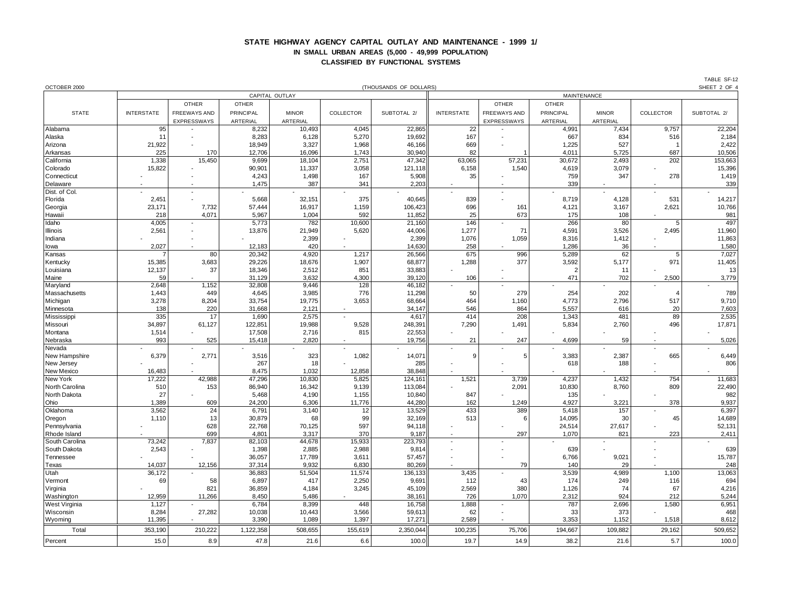## **STATE HIGHWAY AGENCY CAPITAL OUTLAY AND MAINTENANCE - 1999 1/ IN SMALL URBAN AREAS (5,000 - 49,999 POPULATION) CLASSIFIED BY FUNCTIONAL SYSTEMS**

| OCTOBER 2000           | SHEET 2 OF 4<br>(THOUSANDS OF DOLLARS) |               |                  |                  |                 |                   |                   |              |                       |                |                          |                   |
|------------------------|----------------------------------------|---------------|------------------|------------------|-----------------|-------------------|-------------------|--------------|-----------------------|----------------|--------------------------|-------------------|
|                        | CAPITAL OUTLAY<br>MAINTENANCE          |               |                  |                  |                 |                   |                   |              |                       |                |                          |                   |
|                        |                                        | <b>OTHER</b>  | <b>OTHER</b>     |                  |                 |                   |                   | <b>OTHER</b> | <b>OTHER</b>          |                |                          |                   |
| <b>STATE</b>           | <b>INTERSTATE</b>                      | FREEWAYS AND  | <b>PRINCIPAL</b> | <b>MINOR</b>     | COLLECTOR       | SUBTOTAL 2/       | <b>INTERSTATE</b> | FREEWAYS AND | PRINCIPAL             | <b>MINOR</b>   | COLLECTOR                | SUBTOTAL 2/       |
|                        |                                        | EXPRESSWAYS   | ARTERIAL         | ARTERIAL         |                 |                   |                   | EXPRESSWAYS  | ARTERIAL              | ARTERIAL       |                          |                   |
| Alabama                | 95                                     |               | 8,232            | 10,493           | 4,045           | 22,865            | 22                |              | 4,991                 | 7,434          | 9,757                    | 22,204            |
| Alaska                 | 11                                     |               | 8,283            | 6,128            | 5,270           | 19,692            | 167               |              | 667                   | 834            | 516                      | 2,184             |
| Arizona                | 21,922<br>225                          |               | 18,949           | 3,327            | 1,968           | 46,166            | 669<br>82         |              | 1,225                 | 527            | 687                      | 2,422             |
| Arkansas<br>California | 1,338                                  | 170<br>15,450 | 12,706<br>9,699  | 16,096<br>18,104 | 1,743<br>2,751  | 30,940<br>47,342  | 63,065            | 57,231       | 4,011<br>30,672       | 5,725<br>2,493 | 202                      | 10,506<br>153,663 |
| Colorado               | 15,822                                 |               | 90,901           | 11,337           | 3,058           | 121,118           | 6,158             | 1,540        | 4,619                 | 3,079          |                          | 15,396            |
| Connecticut            |                                        |               | 4,243            | 1,498            | 167             | 5,908             | 35                |              | 759                   | 347            | 278                      | 1,419             |
| Delaware               |                                        |               | 1,475            | 387              | 341             | 2,203             |                   |              | 339                   |                |                          | 339               |
| Dist. of Col.          |                                        |               |                  |                  |                 |                   |                   |              |                       |                |                          |                   |
| Florida                | 2,451                                  |               | 5,668            | 32,151           | 375             | 40,645            | 839               |              | 8,719                 | 4,128          | 531                      | 14,217            |
| Georgia                | 23.171                                 | 7.732         | 57,444           | 16,917           | 1,159           | 106,423           | 696               | 161          | 4,121                 | 3,167          | 2,621                    | 10,766            |
| Hawaii                 | 218                                    | 4,071         | 5,967            | 1,004            | 592             | 11,852            | 25                | 673          | 175                   | 108            |                          | 981               |
| Idaho                  | 4,005                                  |               | 5,773            | 782              | 10,600          | 21,160            | 146               |              | 266                   | 80             | 5                        | 497               |
| Illinois               | 2,561                                  |               | 13,876           | 21,949           | 5,620           | 44,006            | 1,277             | 71           | 4,591                 | 3,526          | 2,495                    | 11,960            |
| Indiana                |                                        |               |                  | 2,399            |                 | 2,399             | 1,076             | 1,059        | 8,316                 | 1,412          |                          | 11,863            |
| lowa                   | 2,027                                  |               | 12,183           | 420              |                 | 14,630            | 258               |              | 1,286                 | 36             |                          | 1,580             |
| Kansas                 |                                        | 80            | 20,342           | 4,920            | 1,217           | 26,566            | 675               | 996          | 5,289                 | 62             | 5                        | 7,027             |
| Kentucky               | 15,385                                 | 3,683         | 29,226           | 18,676           | 1,907           | 68,877            | 1,288             | 377          | 3,592                 | 5,177          | 971                      | 11,405            |
| Louisiana<br>Maine     | 12,137<br>59                           | 37            | 18,346<br>31,129 | 2,512<br>3,632   | 851<br>4,300    | 33,883<br>39,120  | 106               |              | $\overline{2}$<br>471 | 11<br>702      | 2,500                    | 13<br>3,779       |
| Maryland               | 2,648                                  | 1,152         | 32,808           | 9,446            | 128             | 46,182            |                   |              |                       |                |                          |                   |
| Massachusetts          | 1,443                                  | 449           | 4,645            | 3,985            | 776             | 11,298            | 50                | 279          | 254                   | 202            | 4                        | 789               |
| Michigan               | 3,278                                  | 8,204         | 33,754           | 19,775           | 3,653           | 68,664            | 464               | 1,160        | 4,773                 | 2,796          | 517                      | 9,710             |
| Minnesota              | 138                                    | 220           | 31,668           | 2,121            |                 | 34,147            | 546               | 864          | 5,557                 | 616            | 20                       | 7,603             |
| Mississippi            | 335                                    | 17            | 1,690            | 2,575            |                 | 4,617             | 414               | 208          | 1,343                 | 481            | 89                       | 2,535             |
| Missouri               | 34,897                                 | 61,127        | 122,851          | 19,988           | 9,528           | 248,391           | 7,290             | 1,491        | 5,834                 | 2,760          | 496                      | 17,871            |
| Montana                | 1,514                                  |               | 17,508           | 2,716            | 815             | 22,553            |                   |              |                       |                |                          |                   |
| Nebraska               | 993                                    | 525           | 15,418           | 2,820            |                 | 19,756            | 21                | 247          | 4.699                 | 59             |                          | 5,026             |
| Nevada                 |                                        |               |                  |                  |                 |                   |                   |              |                       |                | $\overline{\phantom{a}}$ |                   |
| New Hampshire          | 6,379                                  | 2,771         | 3,516            | 323              | 1,082           | 14,071            | 9                 | 5            | 3,383                 | 2,387          | 665                      | 6,449             |
| New Jersey             |                                        |               | 267              | 18               |                 | 285               |                   |              | 618                   | 188            |                          | 806               |
| New Mexico<br>New York | 16,483<br>17,222                       | 42,988        | 8,475<br>47,296  | 1,032<br>10,830  | 12,858<br>5,825 | 38,848<br>124,161 | 1,521             | 3,739        | 4,237                 | 1,432          | 754                      | 11,683            |
| North Carolina         | 510                                    | 153           | 86,940           | 16,342           | 9,139           | 113,084           |                   | 2,091        | 10,830                | 8,760          | 809                      | 22,490            |
| North Dakota           | 27                                     |               | 5,468            | 4,190            | 1,155           | 10,840            | 847               |              | 135                   |                |                          | 982               |
| Ohio                   | 1,389                                  | 609           | 24,200           | 6,306            | 11,776          | 44,280            | 162               | 1,249        | 4,927                 | 3,221          | 378                      | 9,937             |
| Oklahoma               | 3,562                                  | 24            | 6,791            | 3,140            | 12              | 13,529            | 433               | 389          | 5,418                 | 157            |                          | 6,397             |
| Oregon                 | 1,110                                  | 13            | 30,879           | 68               | 99              | 32,169            | 513               | 6            | 14,095                | 30             | 45                       | 14,689            |
| Pennsylvania           |                                        | 628           | 22,768           | 70,125           | 597             | 94,118            |                   |              | 24,514                | 27,617         |                          | 52,131            |
| Rhode Island           |                                        | 699           | 4,801            | 3,317            | 370             | 9,187             |                   | 297          | 1,070                 | 821            | 223                      | 2,411             |
| South Carolina         | 73,242                                 | 7,837         | 82,103           | 44,678           | 15,933          | 223,793           | $\overline{a}$    |              |                       |                |                          |                   |
| South Dakota           | 2,543                                  |               | 1,398            | 2,885            | 2,988           | 9,814             |                   |              | 639                   |                |                          | 639               |
| Tennessee              |                                        |               | 36,057           | 17,789           | 3,611           | 57,457            |                   |              | 6,766                 | 9,021          |                          | 15,787            |
| Texas                  | 14,037                                 | 12,156        | 37,314           | 9,932            | 6,830           | 80,269            |                   | 79           | 140                   | 29             |                          | 248               |
| Utah                   | 36,172<br>69                           | 58            | 36,883<br>6,897  | 51,504<br>417    | 11,574<br>2,250 | 136,133<br>9,691  | 3,435<br>112      | 43           | 3,539<br>174          | 4,989<br>249   | 1,100<br>116             | 13,063<br>694     |
| Vermont<br>Virginia    |                                        | 821           | 36,859           | 4,184            | 3,245           | 45,109            | 2,569             | 380          | 1,126                 | 74             | 67                       | 4,216             |
| Washington             | 12,959                                 | 11,266        | 8,450            | 5,486            |                 | 38,161            | 726               | 1,070        | 2,312                 | 924            | 212                      | 5,244             |
| West Virginia          | 1,127                                  |               | 6,784            | 8,399            | 448             | 16,758            | 1,888             |              | 787                   | 2,696          | 1,580                    | 6,951             |
| Wisconsin              | 8,284                                  | 27,282        | 10,038           | 10,443           | 3,566           | 59,613            | 62                |              | 33                    | 373            |                          | 468               |
| Wyoming                | 11,395                                 |               | 3,390            | 1,089            | 1,397           | 17,271            | 2,589             |              | 3,353                 | 1,152          | 1,518                    | 8,612             |
| Total                  | 353,190                                | 210,222       | 1,122,358        | 508,655          | 155,619         | 2,350,044         | 100,235           | 75,706       | 194,667               | 109,882        | 29,162                   | 509,652           |
| Percent                | 15.0                                   | 8.9           | 47.8             | 21.6             | 6.6             | 100.0             | 19.7              | 14.9         | 38.2                  | 21.6           | 5.7                      | 100.0             |
|                        |                                        |               |                  |                  |                 |                   |                   |              |                       |                |                          |                   |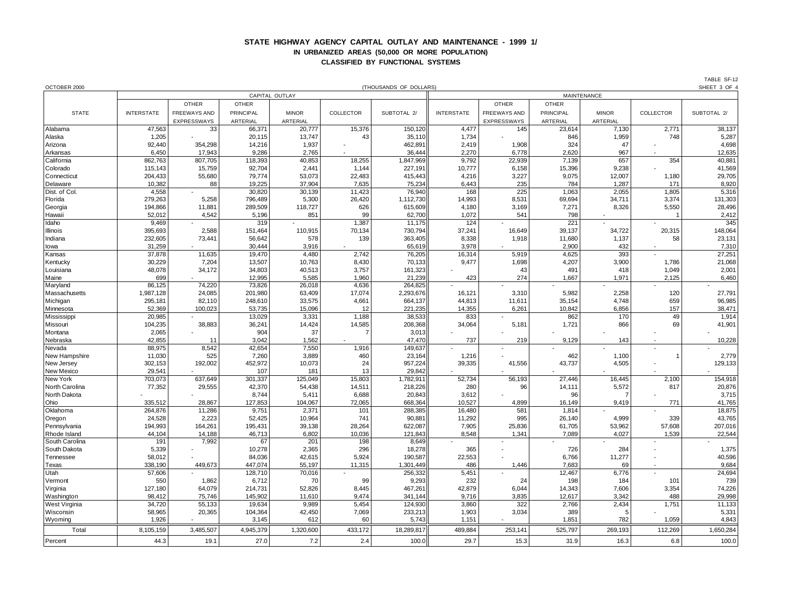## **STATE HIGHWAY AGENCY CAPITAL OUTLAY AND MAINTENANCE - 1999 1/ IN URBANIZED AREAS (50,000 OR MORE POPULATION) CLASSIFIED BY FUNCTIONAL SYSTEMS**

| OCTOBER 2000         |                   |                     |              |                |           | (THOUSANDS OF DOLLARS) |                   |                     |                  |              |           | SHEET 3 OF 4 |  |  |
|----------------------|-------------------|---------------------|--------------|----------------|-----------|------------------------|-------------------|---------------------|------------------|--------------|-----------|--------------|--|--|
|                      |                   |                     |              | CAPITAL OUTLAY |           |                        |                   | MAINTENANCE         |                  |              |           |              |  |  |
|                      |                   | <b>OTHER</b>        | <b>OTHER</b> |                |           |                        |                   | <b>OTHER</b>        | <b>OTHER</b>     |              |           |              |  |  |
| <b>STATE</b>         | <b>INTERSTATE</b> | <b>FREEWAYS AND</b> | PRINCIPAL    | <b>MINOR</b>   | COLLECTOR | SUBTOTAL 2/            | <b>INTERSTATE</b> | <b>FREEWAYS AND</b> | <b>PRINCIPAL</b> | <b>MINOR</b> | COLLECTOR | SUBTOTAL 2/  |  |  |
|                      |                   | <b>EXPRESSWAYS</b>  | ARTERIAL     | ARTERIAL       |           |                        |                   | EXPRESSWAYS         | ARTERIAL         | ARTERIAL     |           |              |  |  |
| Alabama              | 47,563            | 33                  | 66,371       | 20,777         | 15,376    | 150,120                | 4,477             | 145                 | 23,614           | 7,130        | 2,771     | 38,137       |  |  |
| Alaska               | 1,205             |                     | 20,115       | 13,747         | 43        | 35,110                 | 1,734             |                     | 846              | 1,959        | 748       | 5,287        |  |  |
| Arizona              | 92,440            | 354,298             | 14,216       | 1,937          |           | 462,891                | 2,419             | 1,908               | 324              | 47           |           | 4,698        |  |  |
| Arkansas             | 6,450             | 17,943              | 9,286        | 2,765          |           | 36,444                 | 2,270             | 6,778               | 2,620            | 967          |           | 12,635       |  |  |
| California           | 862,763           | 807,705             | 118,393      | 40,853         | 18,255    | 1,847,969              | 9,792             | 22,939              | 7,139            | 657          | 354       | 40,881       |  |  |
| Colorado             | 115,143           | 15,759              | 92,704       | 2,441          | 1,144     | 227,191                | 10,777            | 6,158               | 15,396           | 9,238        |           | 41,569       |  |  |
| Connecticut          | 204,433           | 55,680              | 79,774       | 53,073         | 22,483    | 415,443                | 4,216             | 3,227               | 9,075            | 12,007       | 1,180     | 29,705       |  |  |
| Delaware             | 10,382            | 88                  | 19,225       | 37,904         | 7,635     | 75,234                 | 6,443             | 235                 | 784              | 1,287        | 171       | 8,920        |  |  |
| Dist. of Col.        | 4,558             |                     | 30,820       | 30,139         | 11,423    | 76,940                 | 168               | 225                 | 1,063            | 2,055        | 1,805     | 5,316        |  |  |
| Florida              | 279,263           | 5,258               | 796,489      | 5,300          | 26,420    | 1,112,730              | 14,993            | 8,531               | 69,694           | 34,711       | 3,374     | 131,303      |  |  |
| Georgia              | 194,866           | 11,881              | 289,509      | 118,727        | 626       | 615,609                | 4,180             | 3,169               | 7,271            | 8,326        | 5,550     | 28,496       |  |  |
| Hawaii               | 52,012            | 4,542               | 5,196        | 851            | 99        | 62,700                 | 1,072             | 541                 | 798              |              | -1        | 2,412        |  |  |
| Idaho                | 9,469             |                     | 319          |                | 1,387     | 11,175                 | 124               |                     | 221              |              |           | 345          |  |  |
| Illinois             | 395,693           | 2,588               | 151,464      | 110,915        | 70,134    | 730,794                | 37,241            | 16,649              | 39,137           | 34,722       | 20,315    | 148,064      |  |  |
| Indiana              | 232,605           | 73,441              | 56,642       | 578            | 139       | 363,405                | 8,338             | 1,918               | 11,680           | 1,137        | 58        | 23,131       |  |  |
| lowa                 | 31,259            |                     | 30,444       | 3,916          |           | 65,619                 | 3,978             |                     | 2.900            | 432          |           | 7,310        |  |  |
| Kansas               | 37,878            | 11,635              | 19,470       | 4,480          | 2,742     | 76,205                 | 16,314            | 5,919               | 4,625            | 393          |           | 27,251       |  |  |
| Kentucky             | 30,229            | 7,204               | 13,507       | 10,763         | 8,430     | 70,133                 | 9,477             | 1,698               | 4,207            | 3,900        | 1,786     | 21,068       |  |  |
| Louisiana            | 48,078            | 34,172              | 34,803       | 40,513         | 3,757     | 161,323                |                   | 43                  | 491              | 418          | 1,049     | 2,001        |  |  |
| Maine                | 699               |                     | 12,995       | 5,585          | 1,960     | 21,239                 | 423               | 274                 | 1,667            | 1,971        | 2,125     | 6,460        |  |  |
| Maryland             | 86,125            | 74,220              | 73,826       | 26,018         | 4,636     | 264,825                |                   |                     |                  |              |           |              |  |  |
| Massachusetts        | 1,987,128         | 24,085              | 201,980      | 63,409         | 17,074    | 2,293,676              | 16,121            | 3,310               | 5,982            | 2,258        | 120       | 27,791       |  |  |
| Michigan             | 295,181           | 82,110              | 248,610      | 33,575         | 4,661     | 664,137                | 44,813            | 11,611              | 35,154           | 4,748        | 659       | 96,985       |  |  |
| Minnesota            | 52,369            | 100,023             | 53,735       | 15,096         | 12        | 221,235                | 14,355            | 6,261               | 10,842           | 6,856        | 157       | 38,471       |  |  |
| Mississippi          | 20,985            |                     | 13,029       | 3,331          | 1,188     | 38,533                 | 833               |                     | 862              | 170          | 49        | 1,914        |  |  |
| Missouri             | 104,235           | 38,883              | 36,241       | 14,424         | 14,585    | 208,368                | 34,064            | 5,181               | 1,721            | 866          | 69        | 41,901       |  |  |
| Montana              | 2,065             |                     | 904          | 37             |           | 3,013                  |                   |                     |                  |              |           |              |  |  |
| Nebraska             | 42,855            | 11                  | 3,042        | 1,562          |           | 47,470                 | 737               | 219                 | 9,129            | 143          |           | 10,228       |  |  |
| Nevada               | 88,975            | 8,542               | 42,654       | 7,550          | 1,916     | 149,637                |                   |                     |                  |              |           |              |  |  |
| New Hampshire        | 11,030            | 525                 | 7,260        | 3,889          | 460       | 23,164                 | 1,216             |                     | 462              | 1,100        |           | 2,779        |  |  |
| New Jersey           | 302,153           | 192,002             | 452,972      | 10,073         | 24        | 957,224                | 39,335            | 41,556              | 43,737           | 4,505        |           | 129,133      |  |  |
| New Mexico           | 29,541            |                     | 107          | 181            | 13        | 29,842                 |                   |                     |                  |              |           |              |  |  |
| New York             | 703,073           | 637,649             | 301,337      | 125,049        | 15,803    | 1,782,911              | 52,734            | 56,193              | 27,446           | 16,445       | 2,100     | 154,918      |  |  |
| North Carolina       | 77,352            | 29,555              | 42,370       | 54,438         | 14,511    | 218,226                | 280               | 96                  | 14,111           | 5,572        | 817       | 20,876       |  |  |
| North Dakota         |                   |                     | 8,744        | 5,411          | 6,688     | 20,843                 | 3,612             |                     | 96               |              |           | 3,715        |  |  |
| Ohio                 | 335,512           | 28,867              | 127,853      | 104,067        | 72,065    | 668,364                | 10,527            | 4,899               | 16,149           | 9,419        | 771       | 41,765       |  |  |
| Oklahoma             | 264,876           | 11,286              | 9,751        | 2,371          | 101       | 288,385                | 16,480            | 581                 | 1,814            |              |           | 18,875       |  |  |
| Oregon               | 24,528            | 2,223               | 52,425       | 10,964         | 741       | 90,881                 | 11,292            | 995                 | 26,140           | 4,999        | 339       | 43,765       |  |  |
| Pennsylvania         | 194,993           | 164,261             | 195,431      | 39,138         | 28,264    | 622,087                | 7,905             | 25,836              | 61,705           | 53,962       | 57,608    | 207,016      |  |  |
| Rhode Island         | 44,104            | 14,188              | 46,713       | 6,802          | 10,036    | 121,843                | 8,548             | 1,341               | 7,089            | 4,027        | 1,539     | 22,544       |  |  |
| South Carolina       | 191               | 7,992               | 67           | 201            | 198       | 8,649                  |                   |                     |                  |              |           |              |  |  |
| South Dakota         | 5,339             |                     | 10,278       | 2,365          | 296       | 18,278                 | 365               |                     | 726              | 284          |           | 1,375        |  |  |
| Tennessee            | 58,012            |                     | 84,036       | 42,615         | 5,924     | 190,587                | 22,553            |                     | 6,766            | 11,277       |           | 40,596       |  |  |
| Texas                | 338,190           | 449,673             | 447,074      | 55,197         | 11,315    | 1,301,449              | 486               | 1,446               | 7,683            | 69           |           | 9,684        |  |  |
| Utah                 | 57,606            |                     | 128,710      | 70,016         |           | 256,332                | 5,451             |                     | 12,467           | 6,776        |           | 24,694       |  |  |
| Vermont              | 550               | 1,862               | 6,712        | 70             | 99        | 9,293                  | 232               | 24                  | 198              | 184          | 101       | 739          |  |  |
| Virginia             | 127,180           | 64,079              | 214,731      | 52,826         | 8,445     | 467,261                | 42,879            | 6,044               | 14,343           | 7,606        | 3,354     | 74,226       |  |  |
| Washington           | 98,412            | 75,746              | 145,902      | 11,610         | 9,474     | 341,144                | 9,716             | 3,835               | 12,617           | 3,342        | 488       | 29,998       |  |  |
| <b>West Virginia</b> | 34,720            | 55,133              | 19,634       | 9,989          | 5,454     | 124,930                | 3,860             | 322                 | 2,766            | 2,434        | 1,751     | 11,133       |  |  |
| Wisconsin            | 58,965            | 20,365              | 104,364      | 42,450         | 7,069     | 233,213                | 1,903             | 3,034               | 389              | 5            |           | 5,331        |  |  |
| Wyoming              | 1,926             |                     | 3,145        | 612            | 60        | 5,743                  | 1,151             |                     | 1,851            | 782          | 1,059     | 4,843        |  |  |
| Total                | 8,105,159         | 3,485,507           | 4,945,379    | 1,320,600      | 433,172   | 18,289,817             | 489,884           | 253,141             | 525,797          | 269,193      | 112,269   | 1,650,284    |  |  |
| Percent              | 44.3              | 19.1                | 27.0         | 7.2            | 2.4       | 100.0                  | 29.7              | 15.3                | 31.9             | 16.3         | 6.8       | 100.0        |  |  |